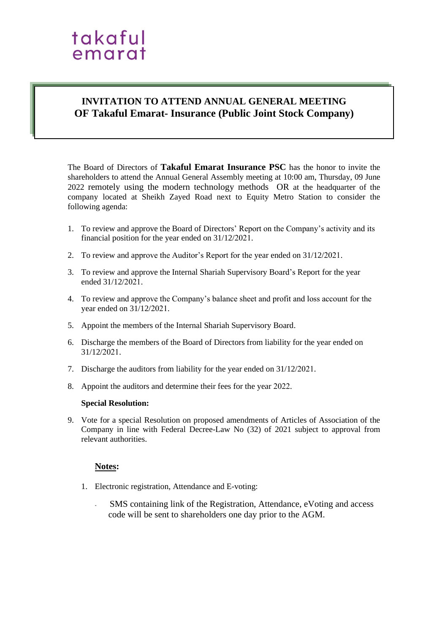### takaful emarat

#### **INVITATION TO ATTEND ANNUAL GENERAL MEETING OF Takaful Emarat- Insurance (Public Joint Stock Company)**

The Board of Directors of **Takaful Emarat Insurance PSC** has the honor to invite the shareholders to attend the Annual General Assembly meeting at 10:00 am, Thursday, 09 June 2022 remotely using the modern technology methods OR at the headquarter of the company located at Sheikh Zayed Road next to Equity Metro Station to consider the following agenda:

- 1. To review and approve the Board of Directors' Report on the Company's activity and its financial position for the year ended on 31/12/2021.
- 2. To review and approve the Auditor's Report for the year ended on 31/12/2021.
- 3. To review and approve the Internal Shariah Supervisory Board's Report for the year ended 31/12/2021.
- 4. To review and approve the Company's balance sheet and profit and loss account for the year ended on 31/12/2021.
- 5. Appoint the members of the Internal Shariah Supervisory Board.
- 6. Discharge the members of the Board of Directors from liability for the year ended on 31/12/2021.
- 7. Discharge the auditors from liability for the year ended on 31/12/2021.
- 8. Appoint the auditors and determine their fees for the year 2022.

#### **Special Resolution:**

9. Vote for a special Resolution on proposed amendments of Articles of Association of the Company in line with Federal Decree-Law No (32) of 2021 subject to approval from relevant authorities.

#### **Notes:**

- 1. Electronic registration, Attendance and E-voting:
	- SMS containing link of the Registration, Attendance, eVoting and access code will be sent to shareholders one day prior to the AGM.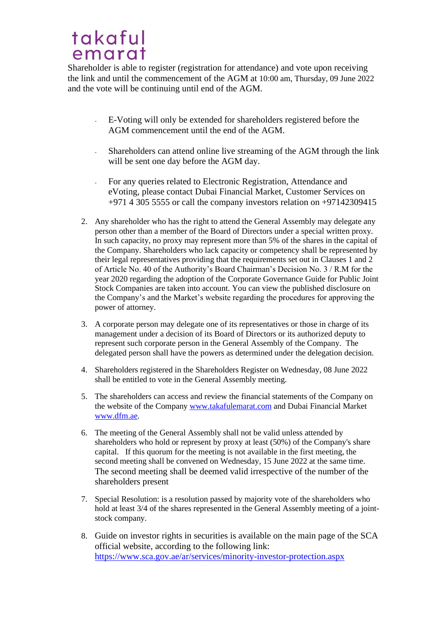## takaful emarat

Shareholder is able to register (registration for attendance) and vote upon receiving the link and until the commencement of the AGM at 10:00 am, Thursday, 09 June 2022 and the vote will be continuing until end of the AGM.

- E-Voting will only be extended for shareholders registered before the AGM commencement until the end of the AGM.
- Shareholders can attend online live streaming of the AGM through the link will be sent one day before the AGM day.
- For any queries related to Electronic Registration, Attendance and eVoting, please contact Dubai Financial Market, Customer Services on +971 4 305 5555 or call the company investors relation on +97142309415
- 2. Any shareholder who has the right to attend the General Assembly may delegate any person other than a member of the Board of Directors under a special written proxy. In such capacity, no proxy may represent more than 5% of the shares in the capital of the Company. Shareholders who lack capacity or competency shall be represented by their legal representatives providing that the requirements set out in Clauses 1 and 2 of Article No. 40 of the Authority's Board Chairman's Decision No. 3 / R.M for the year 2020 regarding the adoption of the Corporate Governance Guide for Public Joint Stock Companies are taken into account. You can view the published disclosure on the Company's and the Market's website regarding the procedures for approving the power of attorney.
- 3. A corporate person may delegate one of its representatives or those in charge of its management under a decision of its Board of Directors or its authorized deputy to represent such corporate person in the General Assembly of the Company. The delegated person shall have the powers as determined under the delegation decision.
- 4. Shareholders registered in the Shareholders Register on Wednesday, 08 June 2022 shall be entitled to vote in the General Assembly meeting.
- 5. The shareholders can access and review the financial statements of the Company on the website of the Company [www.takafulemarat.com](http://www.takafulemarat.com/) and Dubai Financial Market [www.dfm.ae.](http://www.dfm.ae/)
- 6. The meeting of the General Assembly shall not be valid unless attended by shareholders who hold or represent by proxy at least (50%) of the Company's share capital. If this quorum for the meeting is not available in the first meeting, the second meeting shall be convened on Wednesday, 15 June 2022 at the same time. The second meeting shall be deemed valid irrespective of the number of the shareholders present
- 7. Special Resolution: is a resolution passed by majority vote of the shareholders who hold at least 3/4 of the shares represented in the General Assembly meeting of a jointstock company.
- 8. Guide on investor rights in securities is available on the main page of the SCA official website, according to the following link: <https://www.sca.gov.ae/ar/services/minority-investor-protection.aspx>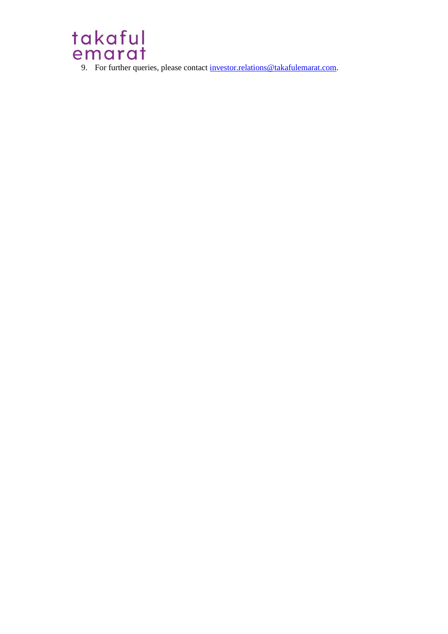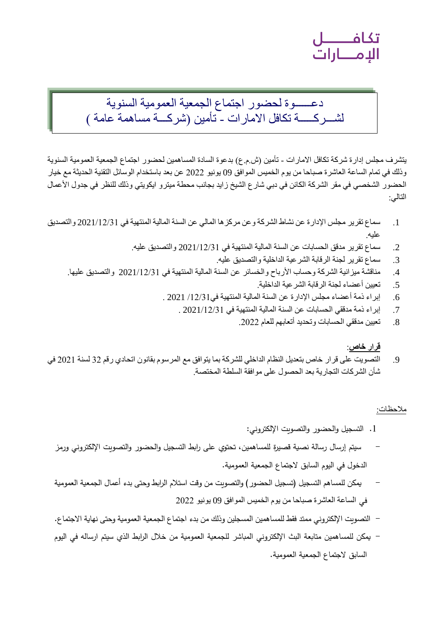تكافــــــــــل<br>الإمــــــارات

### دعــــــوة لحضور اجتماع الجمعية العمومية السنوية لشـــركـــــة تكافل االمارات - تأمين )شركـــة مساهمة عامة (

يتشرف مجلس إدارة شركة تكافل الامارات - تأمين (ش.م. ع) بدعوة السادة المساهمين لحضور اجتماع الجمعية العمومية السنوية وذلك في تمام الساعة العاشرة صباحا من يوم الخميس الموافق 09 يونيو 2022 عن بعد باستخدام الوسائل التقنية الحديثة مع خيار الحضور الشخصي في مقر الشركة الكائن في دبي شارع الشيخ زايد بجانب محطة ميترو ايكويتي وذلك للنظر في جدول الأعمال التالي:

- .1 سماع تقرير مجلس اإلدارة عن نشاط الشركة وعن مركزها المالي عن السنة المالية المنتهية في 2021/12/31 والتصديق عليه.
	- .2 سماع تقرير مدقق الحسابات عن السنة المالية المنتهية في 2021/12/31 والتصديق عليه.
		- .3 سماع تقرير لجنة الرقابة الشرعية الداخلية والتصديق عليه.
	- .4 مناقشة ميزانية الشركة وحساب األرباح والخسائر عن السنة المالية المنتهية في 2021/12/31 والتصديق عليها.
		- .5 تعيين أعضاء لجنة الرقابة الشرعية الداخلية.
		- .6 إبراء ذمة أعضاء مجلس اإلدارة عن السنة المالية المنتهية في/12/31 2021 .
			- .7 إبراء ذمة مدققي الحسابات عن السنة المالية المنتهية في 2021/12/31 .
				- .8 تعيين مدققي الحسابات وتحديد أتعابهم للعام .2022

#### **قرار خاص**:

.9 التصويت على قرار خاص بتعديل النظام الداخلي للشركة بما يتوافق مع المرسوم بقانون اتحادي رقم 32 لسنة 2021 في شأن الشركات التجارية بعد الحصول على موافقة السلطة المختصة.

#### مالحظات:

- .1 التسجيل والحضور و التصويت اإللكتروني:
- سيتم إرسال رسالة نصية قصيرة للمساهمين، تحتوي على اربط التسجيل والحضور والتصويت اإللكتروني ورمز الدخول في اليوم السابق الجتماع الجمعية العمومية.
- يمكن للمساهم التسجيل (تسجيل الحضور ) والتصويت من وقت استلام الرابط وحتى بدء أعمال الجمعية العمومية في الساعة العاشرة صباحا من يوم الخميس الموافق 09 يونيو 2022
- التصويت اإللكتروني ممتد فقط للمساهمين المسجلين وذلك من بدء اجتماع الجمعية العمومية وحتى نهاية االجتماع.
- يمكن للمساهمين متابعة البث الإلكتروني المباشر للجمعية العمومية من خلال الرابط الذي سيتم ارساله في اليوم السابق الجتماع الجمعية العمومية.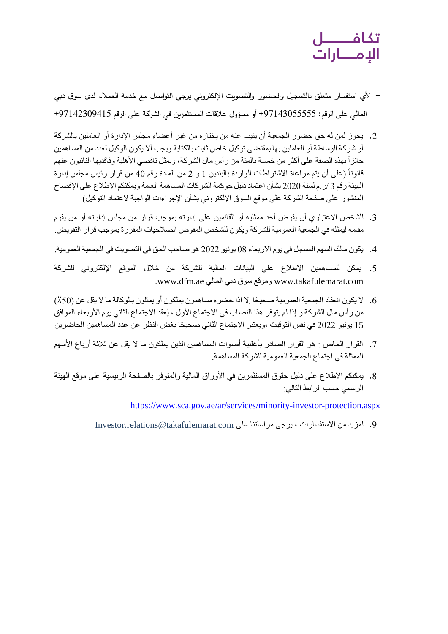## تكافــــــــــل<br>الإمــــــارات

- ألي استفسار متعلق بالتسجيل والحضور والتصويت اإللكتروني يرجى التواصل مع خدمة العمالء لدى سوق دبي المالي على الرقم: \$97143055555 أو مسؤول علاقات المستثمرين في الشركة على الرقم \$9714230941+
- .2 يجوز لمن له حق حضور الجمعية أن ينيب عنه من يختاره من غير أعضاء مجلس اإلدارة أو العاملين بالشركة أو شركة الوساطة أو العاملين بها بمقتضى توكيل خاص ثابت بالكتابة ويجب أال يكون الوكيل لعدد من المساهمين حائزاً بهذه الصفة على أكثر من خمسة بالمئة من رأس مال الشركة، ويمثل ناقصـي الأهلية وفاقديها النائبون عنهم قانوناً (على أن يتم مراعاة الاشتراطات الواردة بالبندين 1 و 2 من المادة رقم 40 من قرار رئيس مجلس إدارة الهيئة رقم 3 /ر.م لسنة 2020 بشأن اعتماد دليل حوكمة الشركات المساهمة العامة ويمكنكم االطالع على اإلفصاح المنشور على صفحة الشركة على موقع السوق الإلكتروني بشأن الإجراءات الواجبة لاعتماد التوكيل)
- 3. للشخص الاعتباري أن يفوض أحد ممثليه أو القائمين على إدارته بموجب قرار من مجلس إدارته أو من يقوم مقامه ليمثله في الجمعية العمومية للشركة ويكون للشخص المفوض الصالحيات المقررة بموجب قرار التفويض.
- .4 يكون مالك السهم المسجل في يوم االربعاء 08 يونيو 2022 هو صاحب الحق في التصويت في الجمعية العمومية.
- 5. يمكن للمساهمين الاطلاع على البيانات المالية للشركة من خلال الموقع الإلكتروني للشركة .www.dfm.ae المالي دبي سوق وموقع www.takafulemarat.com
- 6. لا يكون انعقاد الجمعية العمومية صحيحًا إلا اذا حضره مساهمون يملكون أو يمثلون بالوكالة ما لا يقل عن (50٪) من رأس مال الشركة و إذا لم يتوفر هذا النصاب في الاجتماع الأول ، يُعقد الاجتماع الثاني يوم الأربعاء الموافق 15 يونيو 2022 في نفس التوقيت ،ويعتبر الاجتماع الثاني صحيحًا بغض النظر عن عدد المساهمين الحاضرين
- 7. القر ار الخاص : هو القر ار الصادر بأغلبية أصوات المساهمين الذين يملكون ما لا يقل عن ثلاثة أر باع الأسهم الممثلة في اجتماع الجمعية العمومية للشركة المساهمة.
- 8. يمكنكم الاطلاع على دليل حقوق المستثمرين في الأوراق المالية والمتوفر بالصفحة الرئيسية على موقع الهيئة الرسمي حسب الرابط التالي:

<https://www.sca.gov.ae/ar/services/minority-investor-protection.aspx>

9. لمزيد من الاستفسارات ، يرجى مراسلتنا على Investor.relations@takafulemarat.com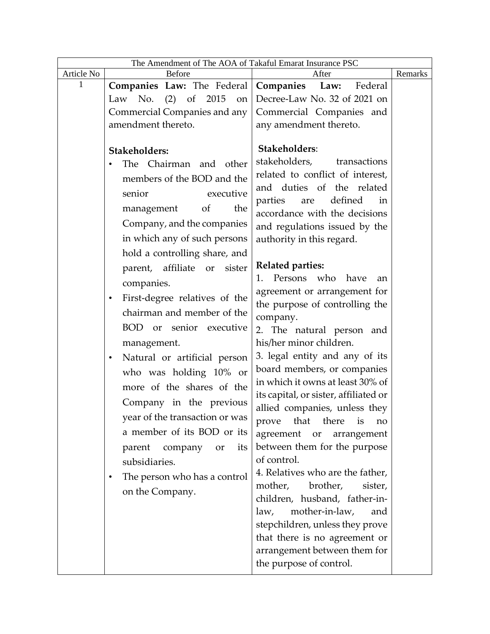| The Amendment of The AOA of Takaful Emarat Insurance PSC |                                                  |                                                         |         |
|----------------------------------------------------------|--------------------------------------------------|---------------------------------------------------------|---------|
| Article No                                               | Before                                           | After                                                   | Remarks |
| 1                                                        | <b>Companies Law:</b> The Federal Companies Law: | Federal                                                 |         |
|                                                          | No. (2) of 2015<br>Law<br>on                     | Decree-Law No. 32 of 2021 on                            |         |
|                                                          | Commercial Companies and any                     | Commercial Companies and                                |         |
|                                                          | amendment thereto.                               | any amendment thereto.                                  |         |
|                                                          |                                                  |                                                         |         |
|                                                          | Stakeholders:                                    | Stakeholders:                                           |         |
|                                                          | The Chairman and other                           | stakeholders,<br>transactions                           |         |
|                                                          | members of the BOD and the                       | related to conflict of interest,                        |         |
|                                                          | senior<br>executive                              | and duties of the related                               |         |
|                                                          | of<br>the<br>management                          | defined<br>parties<br>in<br>are                         |         |
|                                                          | Company, and the companies                       | accordance with the decisions                           |         |
|                                                          |                                                  | and regulations issued by the                           |         |
|                                                          | in which any of such persons                     | authority in this regard.                               |         |
|                                                          | hold a controlling share, and                    |                                                         |         |
|                                                          | parent, affiliate or<br>sister                   | <b>Related parties:</b><br>Persons who have<br>1.<br>an |         |
|                                                          | companies.                                       | agreement or arrangement for                            |         |
|                                                          | First-degree relatives of the<br>$\bullet$       | the purpose of controlling the                          |         |
|                                                          | chairman and member of the                       | company.                                                |         |
|                                                          | BOD or<br>senior executive                       | 2. The natural person and                               |         |
|                                                          | management.                                      | his/her minor children.                                 |         |
|                                                          | Natural or artificial person<br>$\bullet$        | 3. legal entity and any of its                          |         |
|                                                          |                                                  | board members, or companies                             |         |
|                                                          | who was holding 10% or                           | in which it owns at least 30% of                        |         |
|                                                          | more of the shares of the                        | its capital, or sister, affiliated or                   |         |
|                                                          | Company in the previous                          | allied companies, unless they                           |         |
|                                                          | year of the transaction or was                   | that there<br>prove<br>is<br>no                         |         |
|                                                          | a member of its BOD or its                       | agreement<br>or<br>arrangement                          |         |
|                                                          | its<br>parent<br>company<br>or                   | between them for the purpose                            |         |
|                                                          | subsidiaries.                                    | of control.                                             |         |
|                                                          | The person who has a control<br>٠                | 4. Relatives who are the father,                        |         |
|                                                          | on the Company.                                  | mother,<br>brother,<br>sister,                          |         |
|                                                          |                                                  | children, husband, father-in-                           |         |
|                                                          |                                                  | mother-in-law,<br>law,<br>and                           |         |
|                                                          |                                                  | stepchildren, unless they prove                         |         |
|                                                          |                                                  | that there is no agreement or                           |         |
|                                                          |                                                  | arrangement between them for                            |         |
|                                                          |                                                  | the purpose of control.                                 |         |
|                                                          |                                                  |                                                         |         |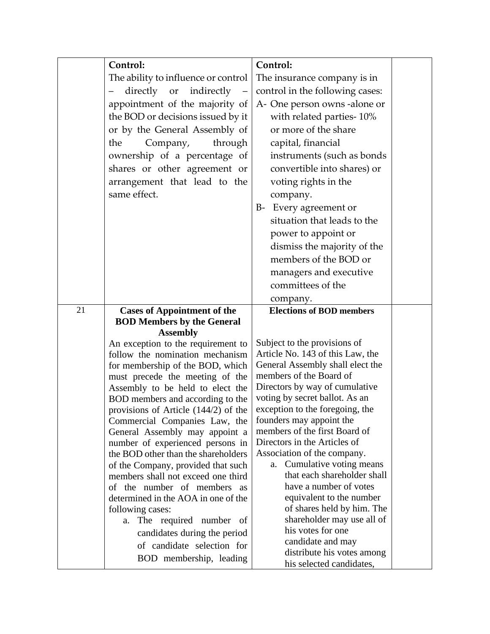|    | Control:                                                                   | Control:                                                          |  |
|----|----------------------------------------------------------------------------|-------------------------------------------------------------------|--|
|    | The ability to influence or control                                        | The insurance company is in                                       |  |
|    | directly or<br>indirectly                                                  | control in the following cases:                                   |  |
|    | appointment of the majority of                                             | A- One person owns -alone or                                      |  |
|    | the BOD or decisions issued by it                                          | with related parties-10%                                          |  |
|    | or by the General Assembly of                                              | or more of the share                                              |  |
|    | the<br>Company,<br>through                                                 | capital, financial                                                |  |
|    | ownership of a percentage of                                               | instruments (such as bonds                                        |  |
|    | shares or other agreement or                                               | convertible into shares) or                                       |  |
|    | arrangement that lead to the                                               | voting rights in the                                              |  |
|    | same effect.                                                               | company.                                                          |  |
|    |                                                                            | Every agreement or<br>$B-$                                        |  |
|    |                                                                            | situation that leads to the                                       |  |
|    |                                                                            |                                                                   |  |
|    |                                                                            | power to appoint or                                               |  |
|    |                                                                            | dismiss the majority of the                                       |  |
|    |                                                                            | members of the BOD or                                             |  |
|    |                                                                            | managers and executive                                            |  |
|    |                                                                            | committees of the                                                 |  |
|    |                                                                            | company.                                                          |  |
| 21 | <b>Cases of Appointment of the</b><br><b>BOD Members by the General</b>    | <b>Elections of BOD members</b>                                   |  |
|    | <b>Assembly</b>                                                            |                                                                   |  |
|    | An exception to the requirement to                                         | Subject to the provisions of                                      |  |
|    | follow the nomination mechanism                                            | Article No. 143 of this Law, the                                  |  |
|    | for membership of the BOD, which                                           | General Assembly shall elect the                                  |  |
|    | must precede the meeting of the                                            | members of the Board of                                           |  |
|    | Assembly to be held to elect the                                           | Directors by way of cumulative                                    |  |
|    | BOD members and according to the<br>provisions of Article $(144/2)$ of the | voting by secret ballot. As an<br>exception to the foregoing, the |  |
|    | Commercial Companies Law, the                                              | founders may appoint the                                          |  |
|    | General Assembly may appoint a                                             | members of the first Board of                                     |  |
|    | number of experienced persons in                                           | Directors in the Articles of                                      |  |
|    | the BOD other than the shareholders                                        | Association of the company.                                       |  |
|    | of the Company, provided that such                                         | Cumulative voting means<br>a.                                     |  |
|    | members shall not exceed one third                                         | that each shareholder shall                                       |  |
|    | of the number of members as                                                | have a number of votes                                            |  |
|    | determined in the AOA in one of the<br>following cases:                    | equivalent to the number<br>of shares held by him. The            |  |
|    | a. The required number of                                                  | shareholder may use all of                                        |  |
|    | candidates during the period                                               | his votes for one                                                 |  |
|    | of candidate selection for                                                 | candidate and may                                                 |  |
|    | BOD membership, leading                                                    | distribute his votes among                                        |  |
|    |                                                                            | his selected candidates,                                          |  |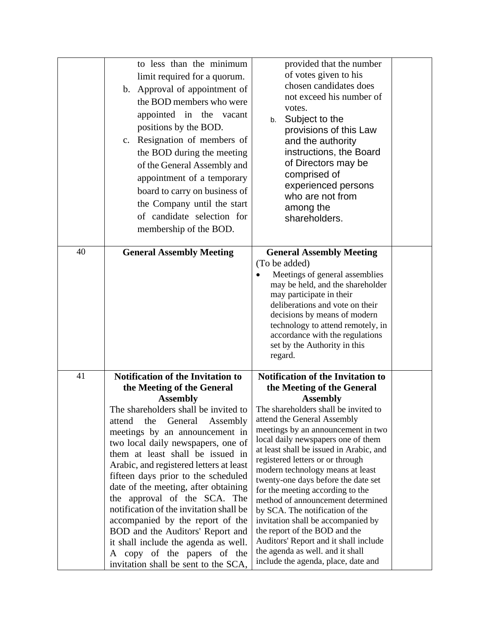|    | to less than the minimum<br>limit required for a quorum.<br>b. Approval of appointment of<br>the BOD members who were<br>appointed in the vacant<br>positions by the BOD.<br>c. Resignation of members of<br>the BOD during the meeting<br>of the General Assembly and<br>appointment of a temporary<br>board to carry on business of<br>the Company until the start<br>of candidate selection for<br>membership of the BOD.                                                                                                                                                            | provided that the number<br>of votes given to his<br>chosen candidates does<br>not exceed his number of<br>votes.<br>Subject to the<br>b.<br>provisions of this Law<br>and the authority<br>instructions, the Board<br>of Directors may be<br>comprised of<br>experienced persons<br>who are not from<br>among the<br>shareholders.                                                                                                                                                                                                                                                                              |  |
|----|-----------------------------------------------------------------------------------------------------------------------------------------------------------------------------------------------------------------------------------------------------------------------------------------------------------------------------------------------------------------------------------------------------------------------------------------------------------------------------------------------------------------------------------------------------------------------------------------|------------------------------------------------------------------------------------------------------------------------------------------------------------------------------------------------------------------------------------------------------------------------------------------------------------------------------------------------------------------------------------------------------------------------------------------------------------------------------------------------------------------------------------------------------------------------------------------------------------------|--|
| 40 | <b>General Assembly Meeting</b>                                                                                                                                                                                                                                                                                                                                                                                                                                                                                                                                                         | <b>General Assembly Meeting</b><br>(To be added)<br>Meetings of general assemblies<br>may be held, and the shareholder<br>may participate in their<br>deliberations and vote on their<br>decisions by means of modern<br>technology to attend remotely, in<br>accordance with the regulations<br>set by the Authority in this<br>regard.                                                                                                                                                                                                                                                                         |  |
| 41 | Notification of the Invitation to                                                                                                                                                                                                                                                                                                                                                                                                                                                                                                                                                       | Notification of the Invitation to                                                                                                                                                                                                                                                                                                                                                                                                                                                                                                                                                                                |  |
|    | the Meeting of the General<br><b>Assembly</b>                                                                                                                                                                                                                                                                                                                                                                                                                                                                                                                                           | the Meeting of the General<br><b>Assembly</b>                                                                                                                                                                                                                                                                                                                                                                                                                                                                                                                                                                    |  |
|    | The shareholders shall be invited to<br>the<br>General<br>attend<br>Assembly<br>meetings by an announcement in<br>two local daily newspapers, one of<br>them at least shall be issued in<br>Arabic, and registered letters at least<br>fifteen days prior to the scheduled<br>date of the meeting, after obtaining<br>the approval of the SCA. The<br>notification of the invitation shall be<br>accompanied by the report of the<br>BOD and the Auditors' Report and<br>it shall include the agenda as well.<br>copy of the papers of the<br>A<br>invitation shall be sent to the SCA, | The shareholders shall be invited to<br>attend the General Assembly<br>meetings by an announcement in two<br>local daily newspapers one of them<br>at least shall be issued in Arabic, and<br>registered letters or or through<br>modern technology means at least<br>twenty-one days before the date set<br>for the meeting according to the<br>method of announcement determined<br>by SCA. The notification of the<br>invitation shall be accompanied by<br>the report of the BOD and the<br>Auditors' Report and it shall include<br>the agenda as well. and it shall<br>include the agenda, place, date and |  |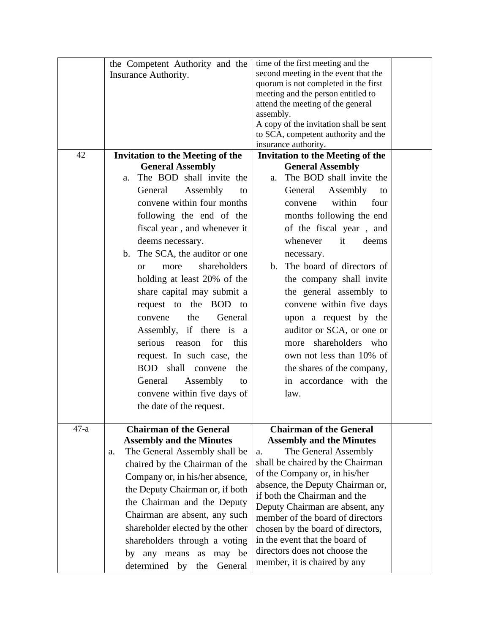|        | the Competent Authority and the<br>Insurance Authority. | time of the first meeting and the<br>second meeting in the event that the<br>quorum is not completed in the first<br>meeting and the person entitled to |  |
|--------|---------------------------------------------------------|---------------------------------------------------------------------------------------------------------------------------------------------------------|--|
|        |                                                         | attend the meeting of the general<br>assembly.<br>A copy of the invitation shall be sent                                                                |  |
|        |                                                         | to SCA, competent authority and the<br>insurance authority.                                                                                             |  |
| 42     | <b>Invitation to the Meeting of the</b>                 | <b>Invitation to the Meeting of the</b>                                                                                                                 |  |
|        | <b>General Assembly</b>                                 | <b>General Assembly</b>                                                                                                                                 |  |
|        | The BOD shall invite the<br>a.                          | The BOD shall invite the<br>a.                                                                                                                          |  |
|        | Assembly<br>General<br>to                               | Assembly<br>General<br>to                                                                                                                               |  |
|        | convene within four months                              | within<br>four<br>convene                                                                                                                               |  |
|        | following the end of the                                | months following the end                                                                                                                                |  |
|        | fiscal year, and whenever it                            | of the fiscal year, and                                                                                                                                 |  |
|        | deems necessary.                                        | whenever<br>deems<br>it                                                                                                                                 |  |
|        | b. The SCA, the auditor or one                          | necessary.                                                                                                                                              |  |
|        | shareholders<br>more<br><b>or</b>                       | b. The board of directors of                                                                                                                            |  |
|        | holding at least 20% of the                             | the company shall invite                                                                                                                                |  |
|        | share capital may submit a                              | the general assembly to                                                                                                                                 |  |
|        | request to the BOD to                                   | convene within five days                                                                                                                                |  |
|        | the<br>General<br>convene                               | upon a request by the                                                                                                                                   |  |
|        | Assembly, if there is a                                 | auditor or SCA, or one or                                                                                                                               |  |
|        | serious reason<br>for<br>this                           | more shareholders who                                                                                                                                   |  |
|        | request. In such case, the                              | own not less than 10% of                                                                                                                                |  |
|        | BOD shall<br>the<br>convene                             | the shares of the company,                                                                                                                              |  |
|        | Assembly<br>General<br>to                               | in accordance with the                                                                                                                                  |  |
|        | convene within five days of                             | law.                                                                                                                                                    |  |
|        |                                                         |                                                                                                                                                         |  |
|        | the date of the request.                                |                                                                                                                                                         |  |
| $47-a$ | <b>Chairman of the General</b>                          | <b>Chairman of the General</b>                                                                                                                          |  |
|        | <b>Assembly and the Minutes</b>                         | <b>Assembly and the Minutes</b>                                                                                                                         |  |
|        | The General Assembly shall be<br>a.                     | The General Assembly<br>a.                                                                                                                              |  |
|        | chaired by the Chairman of the                          | shall be chaired by the Chairman                                                                                                                        |  |
|        | Company or, in his/her absence,                         | of the Company or, in his/her                                                                                                                           |  |
|        | the Deputy Chairman or, if both                         | absence, the Deputy Chairman or,<br>if both the Chairman and the                                                                                        |  |
|        | the Chairman and the Deputy                             | Deputy Chairman are absent, any                                                                                                                         |  |
|        | Chairman are absent, any such                           | member of the board of directors                                                                                                                        |  |
|        | shareholder elected by the other                        | chosen by the board of directors,                                                                                                                       |  |
|        | shareholders through a voting                           | in the event that the board of                                                                                                                          |  |
|        | by any means<br>as may be                               | directors does not choose the                                                                                                                           |  |
|        | determined by<br>General<br>the                         | member, it is chaired by any                                                                                                                            |  |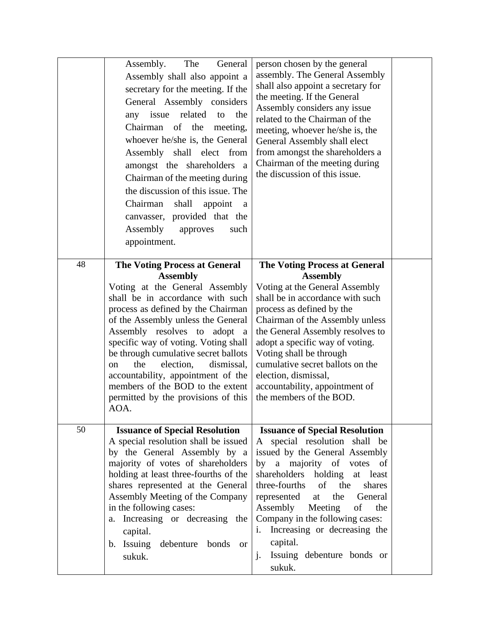|    | The<br>General<br>Assembly.<br>Assembly shall also appoint a<br>secretary for the meeting. If the<br>General Assembly considers<br>related<br>the<br>any issue<br>to<br>Chairman of the meeting,<br>whoever he/she is, the General<br>Assembly shall elect from<br>amongst the shareholders a<br>Chairman of the meeting during<br>the discussion of this issue. The<br>Chairman<br>shall<br>appoint<br>a<br>canvasser, provided that the<br>Assembly<br>approves<br>such<br>appointment.             | person chosen by the general<br>assembly. The General Assembly<br>shall also appoint a secretary for<br>the meeting. If the General<br>Assembly considers any issue<br>related to the Chairman of the<br>meeting, whoever he/she is, the<br>General Assembly shall elect<br>from amongst the shareholders a<br>Chairman of the meeting during<br>the discussion of this issue.                                                              |  |
|----|-------------------------------------------------------------------------------------------------------------------------------------------------------------------------------------------------------------------------------------------------------------------------------------------------------------------------------------------------------------------------------------------------------------------------------------------------------------------------------------------------------|---------------------------------------------------------------------------------------------------------------------------------------------------------------------------------------------------------------------------------------------------------------------------------------------------------------------------------------------------------------------------------------------------------------------------------------------|--|
| 48 | <b>The Voting Process at General</b><br><b>Assembly</b><br>Voting at the General Assembly<br>shall be in accordance with such<br>process as defined by the Chairman<br>of the Assembly unless the General<br>Assembly resolves to adopt a<br>specific way of voting. Voting shall<br>be through cumulative secret ballots<br>the<br>election,<br>dismissal,<br><sub>on</sub><br>accountability, appointment of the<br>members of the BOD to the extent<br>permitted by the provisions of this<br>AOA. | <b>The Voting Process at General</b><br><b>Assembly</b><br>Voting at the General Assembly<br>shall be in accordance with such<br>process as defined by the<br>Chairman of the Assembly unless<br>the General Assembly resolves to<br>adopt a specific way of voting.<br>Voting shall be through<br>cumulative secret ballots on the<br>election, dismissal,<br>accountability, appointment of<br>the members of the BOD.                    |  |
| 50 | <b>Issuance of Special Resolution</b><br>A special resolution shall be issued<br>by the General Assembly by a<br>majority of votes of shareholders<br>holding at least three-fourths of the<br>shares represented at the General<br>Assembly Meeting of the Company<br>in the following cases:<br>Increasing or decreasing the<br>a.<br>capital.<br>b. Issuing debenture<br>bonds<br><b>or</b><br>sukuk.                                                                                              | <b>Issuance of Special Resolution</b><br>A special resolution shall be<br>issued by the General Assembly<br>by a majority of votes of<br>shareholders holding<br>at least<br>three-fourths<br>of<br>the<br>shares<br>represented<br>General<br>at<br>the<br>Assembly<br>Meeting<br>of<br>the<br>Company in the following cases:<br>Increasing or decreasing the<br>i.<br>capital.<br>Issuing debenture bonds or<br>$\mathbf{j}$ .<br>sukuk. |  |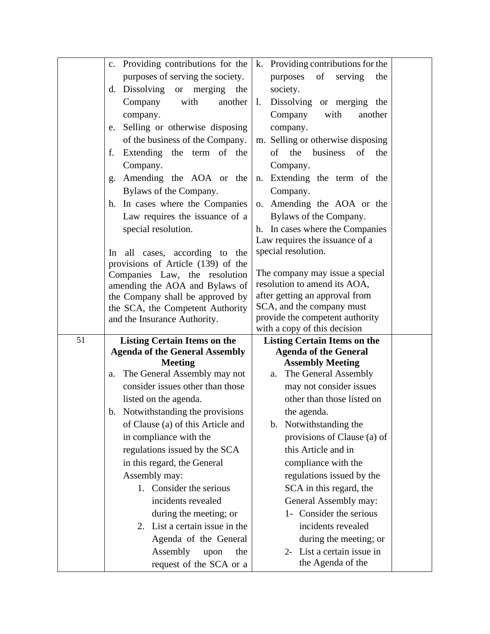|    | c. Providing contributions for the                              | k. Providing contributions for the                 |  |
|----|-----------------------------------------------------------------|----------------------------------------------------|--|
|    | purposes of serving the society.                                | of<br>purposes<br>serving<br>the                   |  |
|    | Dissolving or merging the<br>d.                                 | society.                                           |  |
|    | with<br>Company<br>another                                      | Dissolving or merging the<br>1.                    |  |
|    | company.                                                        | Company<br>with<br>another                         |  |
|    | Selling or otherwise disposing<br>e.                            | company.                                           |  |
|    | of the business of the Company.                                 | m. Selling or otherwise disposing                  |  |
|    | Extending the term of the<br>f.                                 | business<br>of<br>of<br>the<br>the                 |  |
|    | Company.                                                        | Company.                                           |  |
|    | Amending the AOA or the<br>g.                                   | Extending the term of the<br>n.                    |  |
|    | Bylaws of the Company.                                          | Company.                                           |  |
|    | h. In cases where the Companies                                 | Amending the AOA or the<br>0.                      |  |
|    | Law requires the issuance of a                                  | Bylaws of the Company.                             |  |
|    | special resolution.                                             | h. In cases where the Companies                    |  |
|    |                                                                 | Law requires the issuance of a                     |  |
|    | all cases, according to the<br>In                               | special resolution.                                |  |
|    | provisions of Article (139) of the                              | The company may issue a special                    |  |
|    | Companies Law, the resolution<br>amending the AOA and Bylaws of | resolution to amend its AOA,                       |  |
|    | the Company shall be approved by                                | after getting an approval from                     |  |
|    | the SCA, the Competent Authority                                | SCA, and the company must                          |  |
|    |                                                                 |                                                    |  |
|    | and the Insurance Authority.                                    | provide the competent authority                    |  |
|    |                                                                 | with a copy of this decision                       |  |
| 51 | <b>Listing Certain Items on the</b>                             | <b>Listing Certain Items on the</b>                |  |
|    | <b>Agenda of the General Assembly</b>                           | <b>Agenda of the General</b>                       |  |
|    | <b>Meeting</b><br>a. The General Assembly may not               | <b>Assembly Meeting</b><br>a. The General Assembly |  |
|    | consider issues other than those                                | may not consider issues                            |  |
|    | listed on the agenda.                                           | other than those listed on                         |  |
|    | b. Notwithstanding the provisions                               | the agenda.                                        |  |
|    | of Clause (a) of this Article and                               | b. Notwithstanding the                             |  |
|    | in compliance with the                                          | provisions of Clause (a) of                        |  |
|    | regulations issued by the SCA                                   | this Article and in                                |  |
|    | in this regard, the General                                     | compliance with the                                |  |
|    | Assembly may:                                                   | regulations issued by the                          |  |
|    | 1. Consider the serious                                         | SCA in this regard, the                            |  |
|    | incidents revealed                                              | General Assembly may:                              |  |
|    | during the meeting; or                                          | 1- Consider the serious                            |  |
|    | 2. List a certain issue in the                                  | incidents revealed                                 |  |
|    | Agenda of the General                                           | during the meeting; or                             |  |
|    | Assembly<br>upon<br>the<br>request of the SCA or a              | 2- List a certain issue in<br>the Agenda of the    |  |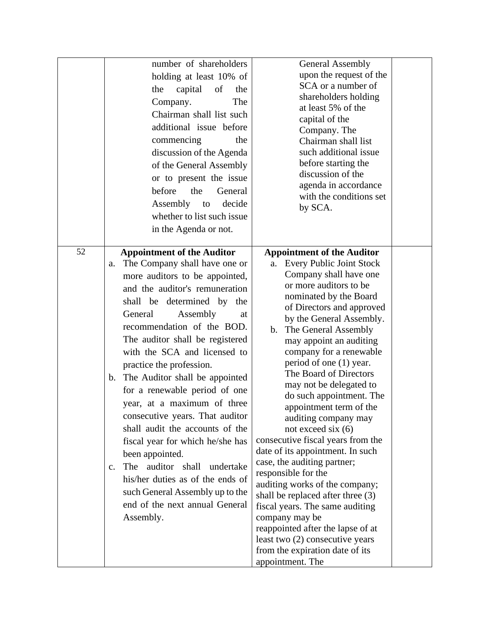|    | number of shareholders<br>holding at least 10% of<br>capital<br>the<br>of<br>the<br>The<br>Company.<br>Chairman shall list such<br>additional issue before<br>the<br>commencing<br>discussion of the Agenda<br>of the General Assembly<br>or to present the issue<br>before<br>the<br>General<br>Assembly to<br>decide<br>whether to list such issue<br>in the Agenda or not.                                                                                                                                                                                                                                                                                                                                                                                | <b>General Assembly</b><br>upon the request of the<br>SCA or a number of<br>shareholders holding<br>at least 5% of the<br>capital of the<br>Company. The<br>Chairman shall list<br>such additional issue<br>before starting the<br>discussion of the<br>agenda in accordance<br>with the conditions set<br>by SCA.                                                                                                                                                                                                                                                                                                                                                                                                                                                                                                                                                        |
|----|--------------------------------------------------------------------------------------------------------------------------------------------------------------------------------------------------------------------------------------------------------------------------------------------------------------------------------------------------------------------------------------------------------------------------------------------------------------------------------------------------------------------------------------------------------------------------------------------------------------------------------------------------------------------------------------------------------------------------------------------------------------|---------------------------------------------------------------------------------------------------------------------------------------------------------------------------------------------------------------------------------------------------------------------------------------------------------------------------------------------------------------------------------------------------------------------------------------------------------------------------------------------------------------------------------------------------------------------------------------------------------------------------------------------------------------------------------------------------------------------------------------------------------------------------------------------------------------------------------------------------------------------------|
| 52 | <b>Appointment of the Auditor</b><br>The Company shall have one or<br>a.<br>more auditors to be appointed,<br>and the auditor's remuneration<br>shall be determined by the<br>Assembly<br>General<br>at<br>recommendation of the BOD.<br>The auditor shall be registered<br>with the SCA and licensed to<br>practice the profession.<br>The Auditor shall be appointed<br>$\mathbf{b}$ .<br>for a renewable period of one<br>year, at a maximum of three<br>consecutive years. That auditor<br>shall audit the accounts of the<br>fiscal year for which he/she has<br>been appointed.<br>auditor shall undertake<br>The<br>$c_{\cdot}$<br>his/her duties as of the ends of<br>such General Assembly up to the<br>end of the next annual General<br>Assembly. | <b>Appointment of the Auditor</b><br>a. Every Public Joint Stock<br>Company shall have one<br>or more auditors to be<br>nominated by the Board<br>of Directors and approved<br>by the General Assembly.<br>b. The General Assembly<br>may appoint an auditing<br>company for a renewable<br>period of one (1) year.<br>The Board of Directors<br>may not be delegated to<br>do such appointment. The<br>appointment term of the<br>auditing company may<br>not exceed six $(6)$<br>consecutive fiscal years from the<br>date of its appointment. In such<br>case, the auditing partner;<br>responsible for the<br>auditing works of the company;<br>shall be replaced after three (3)<br>fiscal years. The same auditing<br>company may be<br>reappointed after the lapse of at<br>least two (2) consecutive years<br>from the expiration date of its<br>appointment. The |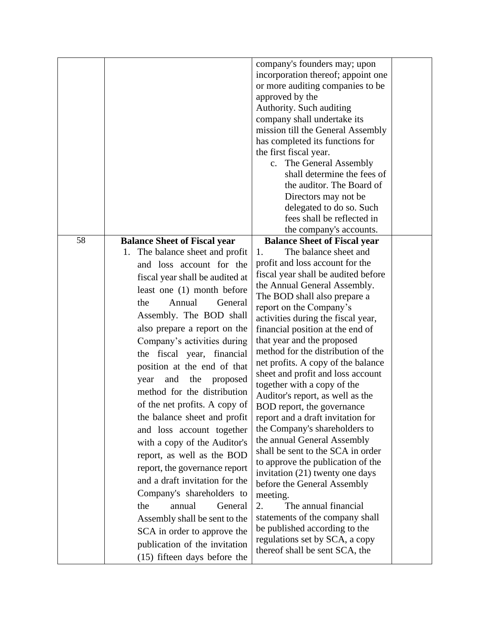|    |                                                                                                                                                                                                                                                                                                                                                                                                                                                                                                                                                                                                                                                                                                                                                                                                                                                    | company's founders may; upon<br>incorporation thereof; appoint one<br>or more auditing companies to be<br>approved by the<br>Authority. Such auditing<br>company shall undertake its<br>mission till the General Assembly<br>has completed its functions for<br>the first fiscal year.<br>c. The General Assembly<br>shall determine the fees of<br>the auditor. The Board of<br>Directors may not be<br>delegated to do so. Such                                                                                                                                                                                                                                                                                                                                                                                                                                                                                                                             |  |
|----|----------------------------------------------------------------------------------------------------------------------------------------------------------------------------------------------------------------------------------------------------------------------------------------------------------------------------------------------------------------------------------------------------------------------------------------------------------------------------------------------------------------------------------------------------------------------------------------------------------------------------------------------------------------------------------------------------------------------------------------------------------------------------------------------------------------------------------------------------|---------------------------------------------------------------------------------------------------------------------------------------------------------------------------------------------------------------------------------------------------------------------------------------------------------------------------------------------------------------------------------------------------------------------------------------------------------------------------------------------------------------------------------------------------------------------------------------------------------------------------------------------------------------------------------------------------------------------------------------------------------------------------------------------------------------------------------------------------------------------------------------------------------------------------------------------------------------|--|
|    |                                                                                                                                                                                                                                                                                                                                                                                                                                                                                                                                                                                                                                                                                                                                                                                                                                                    | fees shall be reflected in<br>the company's accounts.                                                                                                                                                                                                                                                                                                                                                                                                                                                                                                                                                                                                                                                                                                                                                                                                                                                                                                         |  |
| 58 |                                                                                                                                                                                                                                                                                                                                                                                                                                                                                                                                                                                                                                                                                                                                                                                                                                                    | <b>Balance Sheet of Fiscal year</b>                                                                                                                                                                                                                                                                                                                                                                                                                                                                                                                                                                                                                                                                                                                                                                                                                                                                                                                           |  |
|    | <b>Balance Sheet of Fiscal year</b><br>1. The balance sheet and profit<br>and loss account for the<br>fiscal year shall be audited at<br>least one (1) month before<br>Annual<br>General<br>the<br>Assembly. The BOD shall<br>also prepare a report on the<br>Company's activities during<br>the fiscal year, financial<br>position at the end of that<br>the<br>proposed<br>and<br>year<br>method for the distribution<br>of the net profits. A copy of<br>the balance sheet and profit<br>and loss account together<br>with a copy of the Auditor's<br>report, as well as the BOD<br>report, the governance report<br>and a draft invitation for the<br>Company's shareholders to<br>annual<br>General<br>the<br>Assembly shall be sent to the<br>SCA in order to approve the<br>publication of the invitation<br>$(15)$ fifteen days before the | The balance sheet and<br>1.<br>profit and loss account for the<br>fiscal year shall be audited before<br>the Annual General Assembly.<br>The BOD shall also prepare a<br>report on the Company's<br>activities during the fiscal year,<br>financial position at the end of<br>that year and the proposed<br>method for the distribution of the<br>net profits. A copy of the balance<br>sheet and profit and loss account<br>together with a copy of the<br>Auditor's report, as well as the<br>BOD report, the governance<br>report and a draft invitation for<br>the Company's shareholders to<br>the annual General Assembly<br>shall be sent to the SCA in order<br>to approve the publication of the<br>invitation (21) twenty one days<br>before the General Assembly<br>meeting.<br>The annual financial<br>2.<br>statements of the company shall<br>be published according to the<br>regulations set by SCA, a copy<br>thereof shall be sent SCA, the |  |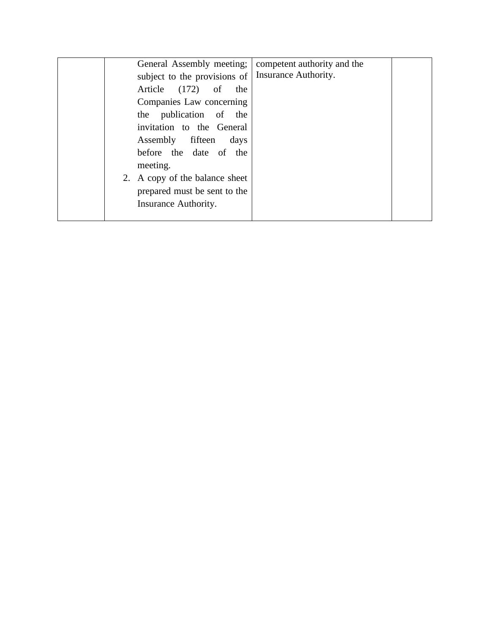|  | General Assembly meeting;      | competent authority and the |  |
|--|--------------------------------|-----------------------------|--|
|  | subject to the provisions of   | Insurance Authority.        |  |
|  | Article (172) of<br>the        |                             |  |
|  | Companies Law concerning       |                             |  |
|  | the publication of the         |                             |  |
|  | invitation to the General      |                             |  |
|  | Assembly fifteen<br>days       |                             |  |
|  | before the date of the         |                             |  |
|  | meeting.                       |                             |  |
|  | 2. A copy of the balance sheet |                             |  |
|  | prepared must be sent to the   |                             |  |
|  | Insurance Authority.           |                             |  |
|  |                                |                             |  |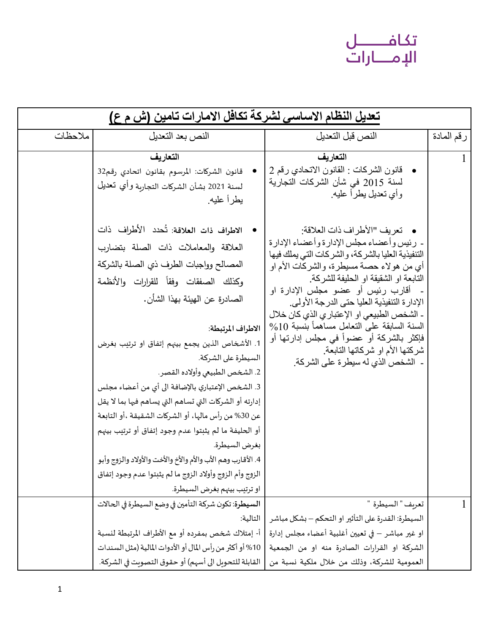## تكافـــــــل<br>الإمـــــارات

| تعديل النظام الاساسي لشركة تكافل الامارات تامين (ش م ع) |                                                                                                                                                                                                                                                                                                                                                                                                                                                                                                                                                                                                                                                                                                                                                                                                                                         |                                                                                                                                                                                                                                                                                                                                                                                                                                                                                                                                                                                                                                                                    |            |
|---------------------------------------------------------|-----------------------------------------------------------------------------------------------------------------------------------------------------------------------------------------------------------------------------------------------------------------------------------------------------------------------------------------------------------------------------------------------------------------------------------------------------------------------------------------------------------------------------------------------------------------------------------------------------------------------------------------------------------------------------------------------------------------------------------------------------------------------------------------------------------------------------------------|--------------------------------------------------------------------------------------------------------------------------------------------------------------------------------------------------------------------------------------------------------------------------------------------------------------------------------------------------------------------------------------------------------------------------------------------------------------------------------------------------------------------------------------------------------------------------------------------------------------------------------------------------------------------|------------|
| ملاحظات                                                 | النص بعد التعديل                                                                                                                                                                                                                                                                                                                                                                                                                                                                                                                                                                                                                                                                                                                                                                                                                        | النص قبل التعديل                                                                                                                                                                                                                                                                                                                                                                                                                                                                                                                                                                                                                                                   | رقم المادة |
|                                                         | التعاريف<br>قانون الشركات: المرسوم بقانون اتحادي رقم32<br>لسنة 2021 بشأن الشركات التجاربة وأي تعديل<br>يطرأ عليه.<br>الاطراف ذات العلاقة: تُحدد الأطراف ذات<br>العلاقة والمعاملات ذات الصلة بتضارب<br>المصالح وواجبات الطرف ذي الصلة بالشركة<br>وكذلك الصفقات وفقأ للقرارات والأنظمة<br>الصـادرة عن الـهيئة بـهذا الشأن.<br>  الاطراف المرتبطة:<br>1. الأشخاص الذين يجمع بينهم إتفاق او ترتيب بغرض<br>السيطرة على الشركة.<br>2. الشخص الطبيعي وأولاده القصر.<br>3. الشخص الإعتباري بالإضافة الى أي من أعضاء مجلس<br>إدارته أو الشركات التي تساهم التي يساهم فيها بما لا يقل<br>عن 30% من رأس مالها، أو الشركات الشقيقة ،أو التابعة<br>أو الحليفة ما لم يثبتوا عدم وجود إتفاق أو ترتيب بينهم<br>بغرض السيطرة.<br>4. الأقارب وهم الأب والأم والأخ والأخت والأولاد والزوج وأبو<br>الزوج وأم الزوج وأولاد الزوج ما لم يثبتوا عدم وجود إتفاق | التعاريف<br>• قانون الشركات : القانون الاتحادي رقم 2<br>لسنة 2015 في شأن الشركات التجارية<br>وأي تعديل بطرأ عليه.<br>•    تعريف "الأطر اف ذات العلاقة:<br>- رئيس وأعضاء مجلس الإدار ة وأعضاء الإدار ة<br>التنفيذية العليا بالشركة، والشركات التي يملك فيها<br>أي من هولاء حصنة مسيطرة، والشركات الأم او<br>التابعة او الشقيقة او الحليفة للشركة.<br>أقارب رئيس أو عضو مجلس الإدارة او<br>الإدار ة التنفيذية العليا حتى الدر جة الأولى.<br>- الشخص الطبيعي او الإعتبار ي الذي كان خلال<br>$\%10$ السنة السابقة على التعامل مساهماً بنسبة 10%<br>فإكثر بالشركة أو عضواً في مجلس إدارتها أو<br>شركتها الأم او شركاتها التابعة.<br>-  الشخص الذي له سيطر ة على الشركة. |            |
|                                                         | او ترتيب بينهم بغرض السيطرة.                                                                                                                                                                                                                                                                                                                                                                                                                                                                                                                                                                                                                                                                                                                                                                                                            |                                                                                                                                                                                                                                                                                                                                                                                                                                                                                                                                                                                                                                                                    |            |
|                                                         | السيطرة: تكون شركة التأمين في وضع السيطرة في الحالات                                                                                                                                                                                                                                                                                                                                                                                                                                                                                                                                                                                                                                                                                                                                                                                    | تعريف " السيطرة  "                                                                                                                                                                                                                                                                                                                                                                                                                                                                                                                                                                                                                                                 |            |
|                                                         | التالية:                                                                                                                                                                                                                                                                                                                                                                                                                                                                                                                                                                                                                                                                                                                                                                                                                                | السيطرة: القدرة على التأثير او التحكم – بشكل مباشر                                                                                                                                                                                                                                                                                                                                                                                                                                                                                                                                                                                                                 |            |
|                                                         | أ- إمتلاك شخص بمفرده أو مع الأطراف المرتبطة لنسبة                                                                                                                                                                                                                                                                                                                                                                                                                                                                                                                                                                                                                                                                                                                                                                                       | او غير مباشر – في تعيين أغلبية أعضاء مجلس إدارة                                                                                                                                                                                                                                                                                                                                                                                                                                                                                                                                                                                                                    |            |
|                                                         | 10% أو أكثر من رأس المال أو الأدوات المالية (مثل السندات                                                                                                                                                                                                                                                                                                                                                                                                                                                                                                                                                                                                                                                                                                                                                                                | الشركة او القرارات الصادرة منه او من الجمعية<br>العمومية للشركة، وذلك من خلال ملكية نسبة من                                                                                                                                                                                                                                                                                                                                                                                                                                                                                                                                                                        |            |
|                                                         | القابلة للتحويل الى أسهم) أو حقوق التصويت في الشركة.                                                                                                                                                                                                                                                                                                                                                                                                                                                                                                                                                                                                                                                                                                                                                                                    |                                                                                                                                                                                                                                                                                                                                                                                                                                                                                                                                                                                                                                                                    |            |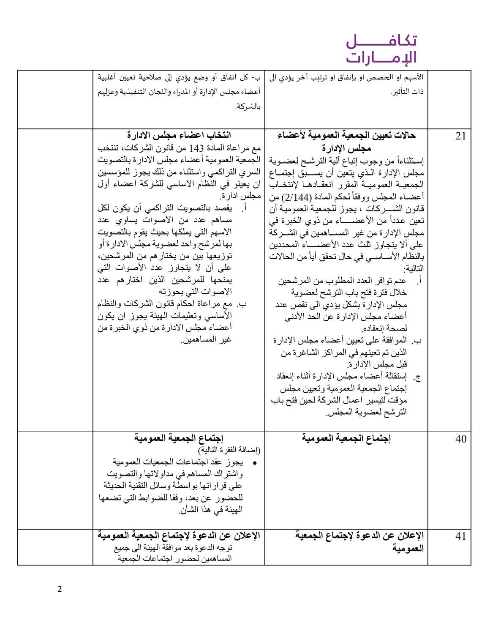

| ب- كل اتفاق أو وضع يؤدي إلى صلاحية تعيين أغلبية                           | الأسهم او الحصص او بإتفاق او ترتيب آخر يؤدي الى                        |    |
|---------------------------------------------------------------------------|------------------------------------------------------------------------|----|
| أعضاء مجلس الإدارة أو المدراء واللجان التنفيذية وعزلهم                    | ذات التأثير.                                                           |    |
| بالشركة.                                                                  |                                                                        |    |
|                                                                           |                                                                        |    |
| انتخاب اعضاء مجلس الادارة                                                 | حالات تعيين الجمعية العمومية لأعضاء                                    | 21 |
| مع مر اعاة المادة 143 من قانون الشركات، تنتخب                             | مجلس الإدارة                                                           |    |
| الجمعية العمومية أعضاء مجلس الادارة بالتصويت                              | إستثناءاً من وجوب إتباع ألية الترشح لعضـوية                            |    |
| السري التراكمي واستثناء من ذلك يجوز للمؤسسين                              | مجلس الإدارة الـذي يتعين أن يســـبق إجتمــاع                           |    |
| ان يعينو في النظام الاساسي للشركة اعضاء أول                               | الجمعيــة العموميــة المقرر انعقــادهــا لإنتخــاب                     |    |
| مجلس ادار ة.                                                              | أعضــاء المـجلس ووفقاً لـحكم المـادة (2/144) من                        |    |
| اً.   يقصد بالتصويت التراكمي أن يكون لكل                                  | قانون الشـــركات ، يجوز للجمعية العمومية أن                            |    |
| مساهم عدد من الاصوات يساوي عدد                                            | تعين عدداً من الأعضـــــاء من ذوي الخبرة في                            |    |
| الاسهم التي يملكها بحيث يقوم بالتصويت                                     | مجلس الإدار ة من غير المســـاهمين في الشـــركة                         |    |
| بها لمرشح واحد لعضوية مجلس الادارة أو                                     | على ألا يتجاوز ثلث عدد الأعضــــاء المحددين                            |    |
| توزيعها بين من يختار هم من المرشحين،<br>على أن لا يتجاوز عدد الأصوات التي | بالنظام الأســاســى في حال تحقق أياً من الحالات                        |    |
| يمنحها للمرشحين الذين اختارهم عدد                                         | التالية:                                                               |    |
| الاصوات التي بحوزته                                                       | عدم توافر العدد المطلوب من المرشحين<br>خلال فترة فتح باب الترشح لعضوية |    |
| ب. مع مراعاة احكام قانون الشركات والنظام                                  | مجلس الإدار ة بشكل يؤدي الى نقص عدد                                    |    |
| الأساسي وتعليمات المهيئة بجوز ان بكون                                     | أعضاء مجلس الإدار ة عن الحد الأدنى                                     |    |
| أعضـاء مجلس الادار ة من ذوي الخبر ة من                                    | لصحة إنعقاده.                                                          |    |
| غير المساهمين.                                                            | ب. الموافقة على تعيين أعضاء مجلس الإدارة                               |    |
|                                                                           | الذين تم تعينهم في المراكز الشاغرة من                                  |    |
|                                                                           | قبل مجلس الإدار ة.                                                     |    |
|                                                                           | ج. [استقالة أعضاء مجلس الإدارة أثناء إنعقاد                            |    |
|                                                                           | إجتماع الجمعية العمومية وتعيين مجلس                                    |    |
|                                                                           | مؤقت لتيسير اعمال الشركة لحين فتح باب                                  |    |
|                                                                           | الترشح لعضوية المجلس.                                                  |    |
|                                                                           |                                                                        |    |
| إجتماع الجمعية العمومية                                                   | إجتماع الجمعية العمومية                                                | 40 |
| (إضـافة الفقر ة التالية)                                                  |                                                                        |    |
| يجوز عقد اجتماعات الجمعيات العمومية                                       |                                                                        |    |
| واشتراك المساهم في مداولاتها والتصويت                                     |                                                                        |    |
| على قرار اتها بواسطة وسائل التقنية الحديثة                                |                                                                        |    |
| للحضور عن بعد، وفقا للضوابط التي تضعها<br>الـهيئة في هذا الشأن.           |                                                                        |    |
|                                                                           |                                                                        |    |
| الإعلان عن الدعوة لإجتماع الجمعية العمومية                                | الإعلان عن الدعوة لإجتماع الجمعية                                      | 41 |
| توجه الدعوة بعد موافقة الهيئة الى جميع                                    | العمومية                                                               |    |
| المساهمين لحضور اجتماعات الجمعية                                          |                                                                        |    |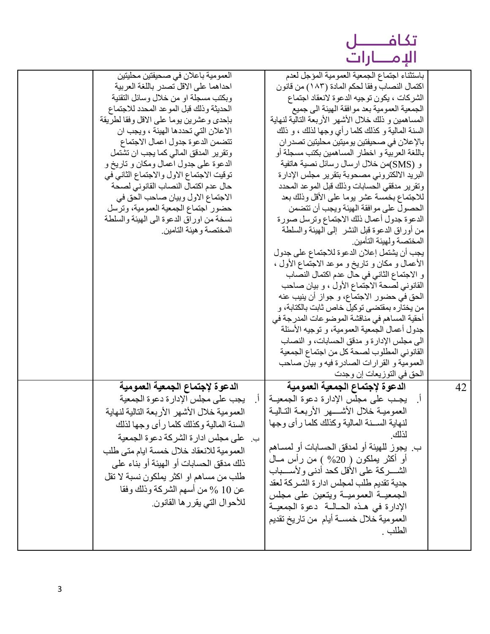|       | óL<br>$\mathbf{K}_{\perp}$ |
|-------|----------------------------|
| ار ات | اللام                      |

| العمومية باعلان في صحيفتين محليتين          | باستثناء اجتماع الجمعية العمومية المؤجل لعدم                               |    |
|---------------------------------------------|----------------------------------------------------------------------------|----|
| احداهما على الاقل تصدر باللغة العربية       | اكتمال النصاب وفقا لحكم المادة (١٨٣) من قانون                              |    |
| وبكتب مسجلة او من خلال وسائل التقنية        | الشركات ، يكون توجيه الدعوة لانعقاد اجتماع                                 |    |
| الحديثة وذلك قبل الموعد المحدد للاجتماع     | الجمعية العمومية بعد موافقة الهيئة الى جميع                                |    |
| بإحدى وعشرين يوما على الاقل وفقا لطريقة     | المساهمين و ذلك خلال الأشهر الأربعة التالية لنهاية                         |    |
| الاعلان التي تحددها الهيئة ، ويجب ان        | السنة المالية و كذلك كلما رأي وجها لذلك ، و ذلك                            |    |
| تتضمن الدعوة جدول اعمال الاجتماع            | بالإعلان في صحيفتين يوميتين محليتين تصدر ان                                |    |
| وتقرير المدقق المالي كما يجب ان تشتمل       | باللغة العربية و اخطار المساهمين بكتب مسجلة أو                             |    |
| الدعوة على جدول اعمال ومكان و تاريخ و       | و (SMS)من خلال ارسال رسائل نصية هاتفية                                     |    |
| توقيت الاجتماع الاول والاجتماع الثاني في    | البريد الالكتروني مصحوبة بتقرير مجلس الإدارة                               |    |
| حال عدم اكتمال النصاب القانوني لصحة         | وتقرير مدققي الحسابات وذلك قبل الموعد المحدد                               |    |
| الاجتماع الاول وبيان صاحب الحق في           | للاجتماع بخمسة عشر يوما على الأقل وذلك بعد                                 |    |
| حضور اجتماع الجمعية العمومية، وترسل         | الحصول على موافقة الهيئة ويجب أن تتضمن                                     |    |
| نسخة من اوراق الدعوة المي المهيئة والسلطة   | الدعوة جدول أعمال ذلك الاجتماع وترسل صورة                                  |    |
| المختصىة و هيئة التامين.                    |                                                                            |    |
|                                             | من أوراق الدعوة قبل النشر ۖ إلى المهيئة والسلطة<br>المختصة ولهيئة التأمين. |    |
|                                             |                                                                            |    |
|                                             | يجب أن يشتمل إعلان الدعوة للاجتماع على جدول                                |    |
|                                             | الأعمال و مكان و تاريخ و موعد الاجتماع الأول ،                             |    |
|                                             | و الاجتماع الثاني في حال عدم اكتمال النصاب                                 |    |
|                                             | القانوني لصحة الاجتماع الأول ، و بيان صاحب                                 |    |
|                                             | الحق في حضور الاجتماع، و جواز أن ينيب عنه                                  |    |
|                                             | من يختار ه بمقتضـي توكيل خاص ثابت بالكتابة، و                              |    |
|                                             | أحقية المساهم في مناقشة الموضو عات المدرجة في                              |    |
|                                             | جدول أعمال الجمعية العمومية، و توجيه الأسئلة                               |    |
|                                             | الى مجلس الإدارة و مدقق الحسابات، و النصاب                                 |    |
|                                             | القانوني المطلوب لصحة كل من اجتماع الجمعية                                 |    |
|                                             | العمومية و القرارات الصادرة فيه و بيان صاحب                                |    |
|                                             | الحق في التوزيعات إن وجدت                                                  |    |
| الدعوة لإجتماع الجمعية العمومية             | الدعوة لإجتماع الجمعية العمومية                                            | 42 |
| يجب على مجلس الإدارة دعوة الجمعية           | أ.    يجب على مجلس الإدار ة دعوة الجمعيــة                                 |    |
| العمومية خلال الأشهر الأربعة التالية لنهاية | العموميـة خلال الأشــــهر الأربعــة التــاليــة                            |    |
|                                             | لنهاية الســنة المالية وكذلك كلما رأى وجها                                 |    |
| السنة المالية وكذلك كلما رأى وجها لذلك      | لذلك                                                                       |    |
| ب. على مجلس ادارة الشركة دعوة الجمعية       |                                                                            |    |
| العمومية للانعقاد خلال خمسة ايام متى طلب    | ب. يجو ز  للهيئة أو  لمدقق الحسـابات أو  لمسـاهم                           |    |
| ذلك مدقق الحسابات أو الهيئة أو بناء على     | أو أكثر يملكون ( 20% ) من رأس مــال                                        |    |
| طلب من مساهم او اكثر يملكون نسبة لا تقل     | الشســركة على الأقل كحد أدنى ولأسسـباب                                     |    |
|                                             | جدية تقديم طلب لمجلس ادارة الشـركة لعقد                                    |    |
| عن 10 % من أسهم الشركة وذلك وفقا            | الجمعيــة العموميــة ويتعين علـى مجلس                                      |    |
| للأحوال التي يقرر ها القانون.               | الإدارة في هذه الحـالــة ۖ دعوة الجمعيــة                                  |    |
|                                             | العمومية خلال خمسـة أيام  من تاريخ تقديم                                   |    |
|                                             | الطلب .                                                                    |    |
|                                             |                                                                            |    |
|                                             |                                                                            |    |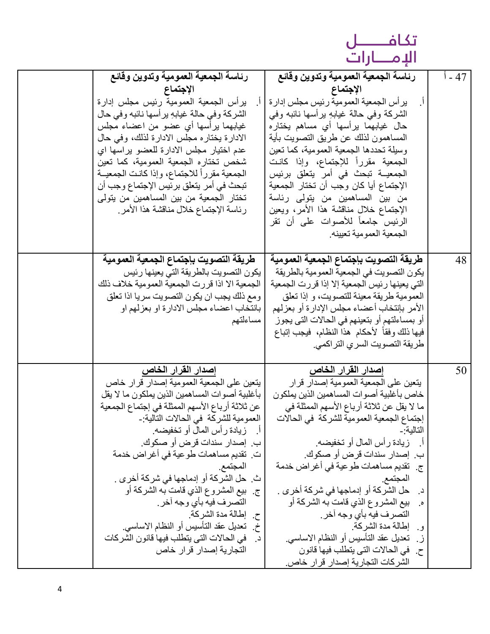تكافـــــــل<br>الإمـــــارات

| رئاسة الجمعية العمومية وتدوين وقائع                                | رئاسة الجمعية العمومية وتدوين وقائع                    | 47 - أ |
|--------------------------------------------------------------------|--------------------------------------------------------|--------|
| الإجتماع                                                           | الإجتماع                                               |        |
| برأس الجمعية العمومية رئيس مجلس إدارة                              | يرأس الجمعية العمومية رئيس مجلس إدارة                  |        |
| الشركة وفي حالة غيابهِ يرأسها نائبه وفي حال                        | الشركة وفي حالة غيابهِ برأسها نائبه وفي                |        |
| غيابهما يرأسها أي عضو من اعضاء مجلس                                | حال غيابهما يرأسها أي مساهم يختاره                     |        |
| الادارة يختاره مجلس الادارة لذلك، وفي حال                          | المساهمون لذلك عن طريق التصويت بأية                    |        |
| عدم اختيار مجلس الادارة للعضو براسها اي                            | وسيلة تحددها الجمعية العمومية، كما تعين                |        |
| شخص تختاره الجمعية العمومية، كما تعين                              | الجمعية مقررأ للإجتماع، وإذا كانت                      |        |
| الجمعية مقرراً للاجتماع، وإذا كانت الجمعيــة                       | الجمعيــة تبحث في أمر يتعلق برئيس                      |        |
| تبحث في أمر يتعلَّق برئيس الإجتماع وجب أن                          | الإجتماع أيا كان وجب أن تختار الجمعية                  |        |
| تختار الجمعية من بين المساهمين من يتولى                            | من بين المساهمين من يتولى رئاسة                        |        |
| رئاسة الإجتماع خلال مناقشة هذا الأمر                               | الإجتماع خلال مناقشة هذا الأمر، ويعين                  |        |
|                                                                    | الرئيس جامعاً للأصوات على أن تقر                       |        |
|                                                                    | الجمعية العمومية تعيينه.                               |        |
|                                                                    |                                                        |        |
| طريقة التصويت بإجتماع الجمعية العمومية                             | طريقة التصويت بإجتماع الجمعية العمومية                 | 48     |
| يكون التصويت بالطريقة التي يعينها رئيس                             | يكون التصويت في الجمعية العمومية بالطريقة              |        |
| الجمعية الا اذا قررت الجمعية العمومية خلاف ذلك                     | التي يعينها رئيس الجمعية إلا إذا قررت الجمعية          |        |
| ومع ذلك يجب ان يكون التصويت سريا اذا تعلق                          | العمومية طريقة معينة للتصويت، و إذا تعلق               |        |
| بانتخاب اعضاء مجلس الادارة او بعزلهم او                            | الأمر بإنتخاب أعضاء مجلس الإدارة أو بعزلهم             |        |
| مساءلتهم                                                           | أو بمساءلتهم أو بتعينهم في الحالات التي يجوز           |        |
|                                                                    | فيها ذلك وفقاً لأحكام هذا النظام، فيجب إتباع           |        |
|                                                                    | طريقة التصويت السري التراكمي.                          |        |
|                                                                    |                                                        |        |
| إصدار القرار الخاص                                                 | إصدار القرار الخاص                                     | 50     |
| يتعين على الجمعية العمومية إصدار قرار خاص                          | ينعين على الجمعية العمو مية إصدار  قر ار               |        |
| بأغلبية أصوات المساهمين الذين يملكون ما لا يقل                     | خاص بأغلبية أصوات المساهمين الذين يملكون               |        |
| عن ثلاثة أرباع الأسهم الممثلة في إجتماع الجمعية                    | ما لا يقل عن ثلاثة أرباع الأسهم الممثلة في             |        |
| العمومية للشركة في الحالات التالية:-<br>زيادة رأس المال أو تخفيضه. | إجتماع الجمعية العمومية للشركة في الحالات<br>التالية:- |        |
| ب. إصدار سندات قرض أو صكوك.                                        | أ.     زيادة رأس المال أو تخفيضه.                      |        |
| ت. تقديم مساهمات طوعية في أغراض خدمة                               | ب.  إصدار سندات قرض أو صكوك.                           |        |
| المجتمع.                                                           | ج.  تقديم مساهمات طوعية في أغراض خدمة                  |        |
| ث. حل الشركة أو إدماجها في شركة أخرى .                             | المجتمع.                                               |        |
| بيع المشروع الذي قامت به الشركة أو<br>ج.                           | حل الشركة أو إدماجها في شركة أخر ي .<br>د.             |        |
| النصرف فيه بأي وجه أخر .                                           | بيع المشروع الذي قامت به الشركة أو                     |        |
| ح إطالة مدة الشركة.                                                | التصرف فيه بأي وجه أخر ـ                               |        |
| تعديل عقد التأسيس أو النظام الاساسي.<br>خ.                         | و إطالة مدة الشركة.                                    |        |
| في الحالات التي يتطلب فيها قانون الشركات<br>د.                     | ز . تعديل عقد التأسيس أو النظام الاساسي.               |        |
| التجارية إصدار قرار خاص                                            | ح. في الحالات التي يتطلب فيها قانون                    |        |
|                                                                    | الشركات التجارية إصدار قرا <u>ر خاص.</u>               |        |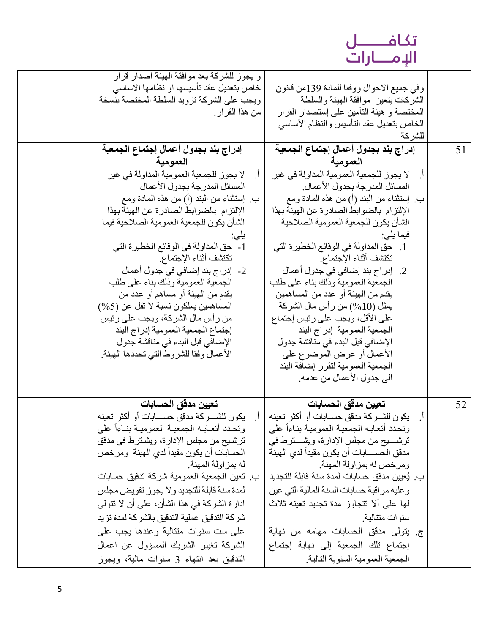# تكافـــــــل<br>الإمــــارات

| و يجوز للشركة بعد موافقة الهيئة اصدار قرار<br>خاص بتعديل عقد تأسيسها او نظامها الاساسي<br>ويجب على الشركة تزويد السلطة المختصة بنسخة<br>من هذا القرار . | وفي جميع الاحوال ووفقا للمادة 139من قانون<br>الشركات بتعين موافقة الهيئة والسلطة<br>المختصة و هيئة التأمين على إستصدار القرار |    |
|---------------------------------------------------------------------------------------------------------------------------------------------------------|-------------------------------------------------------------------------------------------------------------------------------|----|
|                                                                                                                                                         | الخاص بتعديل عقد التأسيس والنظام الأساسي<br>للشركة                                                                            |    |
| إدراج بند بجدول أعمال إجتماع الجمعية<br>العمومية                                                                                                        | إدراج بند بجدول أعمال إجتماع الجمعية<br>العمومية                                                                              | 51 |
| لا يجوز للجمعية العمومية المداولة في غير<br>المسائل المدرجة بجدول الأعمال                                                                               | لا يجوز للجمعية العمومية المداولة في غير<br>المسائل المدرجة بجدول الأعمال.                                                    |    |
| ب. ٳستثناء من البند (أ) من هذه المُعادة ومع<br>الإلتزام بالضوابط الصادرة عن الهيئة بهذا                                                                 | بٍ إستثناء من البند (أ) من هذه المادة ومع<br>الإلتزام بالضوابط الصادرة عن الهيئة بهذا                                         |    |
| الشأن يكون للجمعية العمومية الصلاحية فيما<br>1- حق المداولة في الوقائع الخطيرة التي                                                                     | الشأن يكون للجمعية العمومية الصلاحية<br>فيما يلي:<br>1. حق المداولة في الوقائع الخطيرة التي                                   |    |
| تكتشف أثناء الإجتماع.<br>2-  إدر اج بند إضافي في جدول أعمال                                                                                             | تكتشف أثناء الإجتماع.<br>2.   إدراج بند إضافي في جدول أعمال                                                                   |    |
| الجمعية العمومية وذلك بناء على طلب<br>يقدم من المهيئة أو مساهم أو عدد من                                                                                | الجمعية العمومية وذلك بناء على طلب<br>يقدم من المهيئة أو عدد من المساهمين                                                     |    |
| المساهمين يملكون نسبة لا تقل عن (5%)<br>من رأس مال الشركة، ويجب على رئيس<br>إجتماع الجمعية العمومية إدراج البند                                         | يمثل (10%) من رأس مال الشركة<br>على الأقل، ويجب على رئيس إجتماع<br>الجمعية العمومية إدراج البند                               |    |
| الإضافي قبل البدء في مناقشة جدول<br>الأعمال وفقا للشروط التي تحددها الهيئة.                                                                             | الإضافي قبل البدء في مناقشة جدول<br>الأعمال أو عرض الموضوع على                                                                |    |
|                                                                                                                                                         | الجمعية العمومية لتقرر إضافة البند<br>الى جدول الأعمال من عدمه.                                                               |    |
| تعيين مدقق الحسابات                                                                                                                                     | تعيين مدقق الحسابات                                                                                                           | 52 |
| يكون للشـــركة مدقق حســــابات أو أكثر تعينه                                                                                                            | يكون للشــركة مدقق حســابات أو أكثر تعينه                                                                                     |    |
| وتحدد أتعابه الجمعية العمومية بناءاً على                                                                                                                | وتحدد أتعابه الجمعية العمومية بناءا على                                                                                       |    |
| ترشيح من مجلس الإدارة، ويشترط في مدقق                                                                                                                   | ترشــــــــــيح من مجلس الإدارة، ويشـــــــترط في<br>مدقق الحســـــابـات أن يكون مقيداً لدى الـهيئـة                          |    |
| الحسابات أن يكون مقيداً لدي الـهيئة ۖ ومرخص<br>له بمز اولة المهنة.                                                                                      | ومرخص له بمز اولة المهنة.                                                                                                     |    |
| ب. تعين الجمعية العمومية شركة تدقيق حسابات                                                                                                              | ب. يُعيين مدقق حسابات لمدة سنة قابلة للتجديد                                                                                  |    |
| لمدة سنة قابلة للتجديد ولا يجوز تفويض مجلس                                                                                                              | وعليه مراقبة حسابات السنة المالية التي عين                                                                                    |    |
| ادار ة الشركة في هذا الشأن، على أن لا تتولى                                                                                                             | لَّها علَّى ألا تتجاوز مدة تجديد تعينه ثلاث                                                                                   |    |
| شركة التدقيق عملية التدقيق بالشركة لمدة تزيد                                                                                                            | سنوات متتالية.                                                                                                                |    |
| علمي ست سنوات متتالية وعندها يجب علمي                                                                                                                   | ج. يتولَّى مدقق الحسابات مهامه من نهاية                                                                                       |    |
| الشركة تغيير الشريك المسؤول عن اعمال                                                                                                                    | إجتماع تلك الجمعية إلى نهاية إجتماع                                                                                           |    |
| التدقيق بعد انتهاء 3 سنوات مالية، ويجوز                                                                                                                 | الجمعية العمومية السنوية التالية.                                                                                             |    |